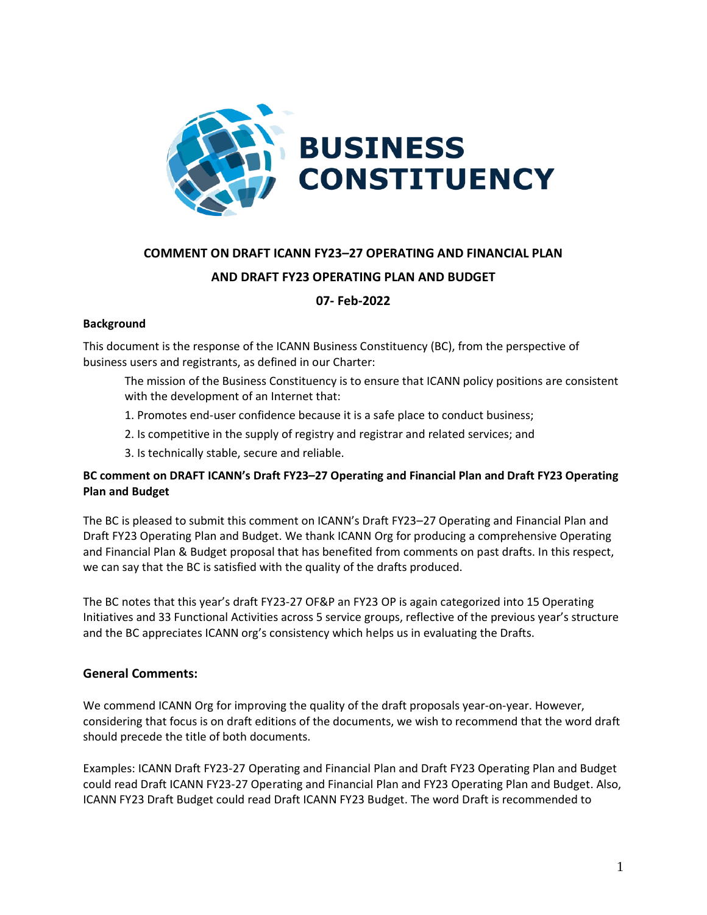

# **COMMENT ON DRAFT ICANN FY23–27 OPERATING AND FINANCIAL PLAN**

# **AND DRAFT FY23 OPERATING PLAN AND BUDGET**

# **07- Feb-2022**

### **Background**

This document is the response of the ICANN Business Constituency (BC), from the perspective of business users and registrants, as defined in our Charter:

- The mission of the Business Constituency is to ensure that ICANN policy positions are consistent with the development of an Internet that:
- 1. Promotes end-user confidence because it is a safe place to conduct business;
- 2. Is competitive in the supply of registry and registrar and related services; and
- 3. Is technically stable, secure and reliable.

# **BC comment on DRAFT ICANN's Draft FY23–27 Operating and Financial Plan and Draft FY23 Operating Plan and Budget**

The BC is pleased to submit this comment on ICANN's Draft FY23–27 Operating and Financial Plan and Draft FY23 Operating Plan and Budget. We thank ICANN Org for producing a comprehensive Operating and Financial Plan & Budget proposal that has benefited from comments on past drafts. In this respect, we can say that the BC is satisfied with the quality of the drafts produced.

The BC notes that this year's draft FY23-27 OF&P an FY23 OP is again categorized into 15 Operating Initiatives and 33 Functional Activities across 5 service groups, reflective of the previous year's structure and the BC appreciates ICANN org's consistency which helps us in evaluating the Drafts.

# **General Comments:**

We commend ICANN Org for improving the quality of the draft proposals year-on-year. However, considering that focus is on draft editions of the documents, we wish to recommend that the word draft should precede the title of both documents.

Examples: ICANN Draft FY23-27 Operating and Financial Plan and Draft FY23 Operating Plan and Budget could read Draft ICANN FY23-27 Operating and Financial Plan and FY23 Operating Plan and Budget. Also, ICANN FY23 Draft Budget could read Draft ICANN FY23 Budget. The word Draft is recommended to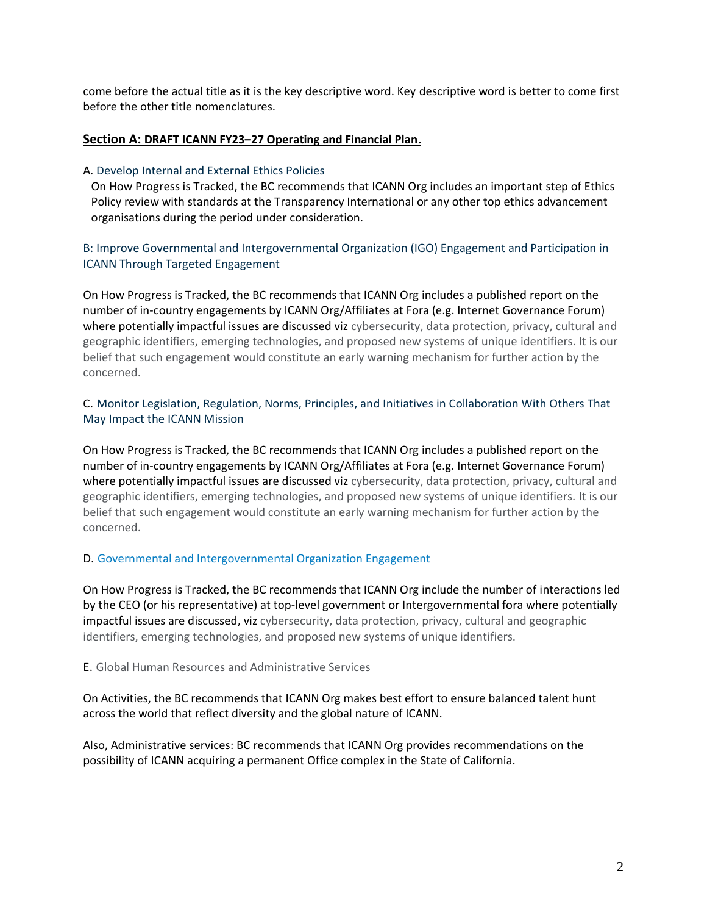come before the actual title as it is the key descriptive word. Key descriptive word is better to come first before the other title nomenclatures.

## **Section A: DRAFT ICANN FY23–[27 Operating and Financial Plan.](https://www.icann.org/en/system/files/files/draft-op-financial-plan-fy23-27-draft-opplan-fy23-2021-en.pdf)**

### A. Develop Internal and External Ethics Policies

On How Progress is Tracked, the BC recommends that ICANN Org includes an important step of Ethics Policy review with standards at the Transparency International or any other top ethics advancement organisations during the period under consideration.

B: Improve Governmental and Intergovernmental Organization (IGO) Engagement and Participation in ICANN Through Targeted Engagement

On How Progress is Tracked, the BC recommends that ICANN Org includes a published report on the number of in-country engagements by ICANN Org/Affiliates at Fora (e.g. Internet Governance Forum) where potentially impactful issues are discussed viz cybersecurity, data protection, privacy, cultural and geographic identifiers, emerging technologies, and proposed new systems of unique identifiers. It is our belief that such engagement would constitute an early warning mechanism for further action by the concerned.

# C. Monitor Legislation, Regulation, Norms, Principles, and Initiatives in Collaboration With Others That May Impact the ICANN Mission

On How Progress is Tracked, the BC recommends that ICANN Org includes a published report on the number of in-country engagements by ICANN Org/Affiliates at Fora (e.g. Internet Governance Forum) where potentially impactful issues are discussed viz cybersecurity, data protection, privacy, cultural and geographic identifiers, emerging technologies, and proposed new systems of unique identifiers. It is our belief that such engagement would constitute an early warning mechanism for further action by the concerned.

### D. Governmental and Intergovernmental Organization Engagement

On How Progress is Tracked, the BC recommends that ICANN Org include the number of interactions led by the CEO (or his representative) at top-level government or Intergovernmental fora where potentially impactful issues are discussed, viz cybersecurity, data protection, privacy, cultural and geographic identifiers, emerging technologies, and proposed new systems of unique identifiers.

E. Global Human Resources and Administrative Services

On Activities, the BC recommends that ICANN Org makes best effort to ensure balanced talent hunt across the world that reflect diversity and the global nature of ICANN.

Also, Administrative services: BC recommends that ICANN Org provides recommendations on the possibility of ICANN acquiring a permanent Office complex in the State of California.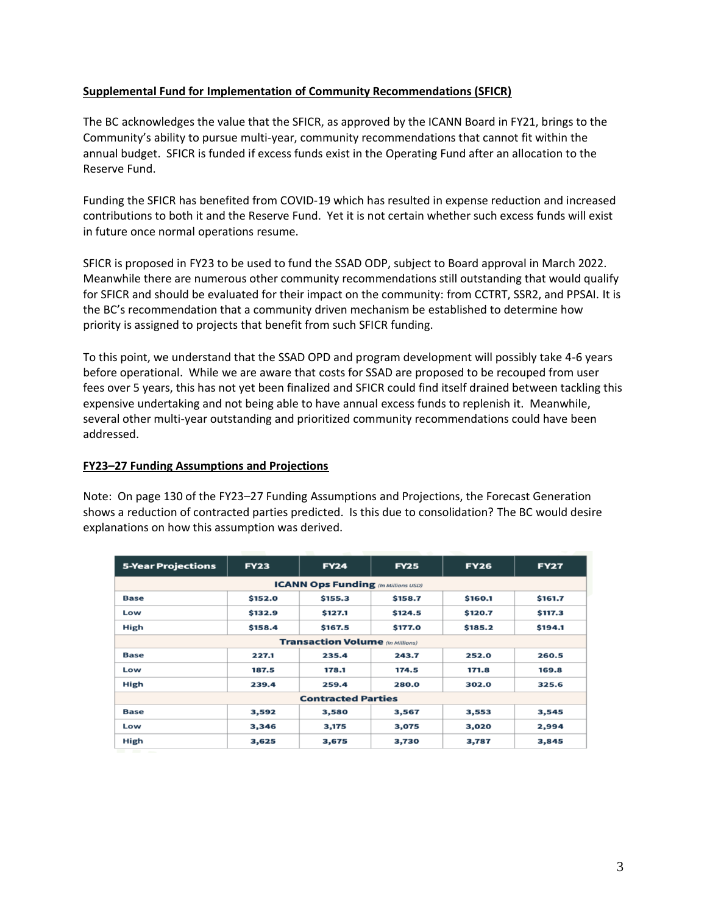## **Supplemental Fund for Implementation of Community Recommendations (SFICR)**

The BC acknowledges the value that the SFICR, as approved by the ICANN Board in FY21, brings to the Community's ability to pursue multi-year, community recommendations that cannot fit within the annual budget. SFICR is funded if excess funds exist in the Operating Fund after an allocation to the Reserve Fund.

Funding the SFICR has benefited from COVID-19 which has resulted in expense reduction and increased contributions to both it and the Reserve Fund. Yet it is not certain whether such excess funds will exist in future once normal operations resume.

SFICR is proposed in FY23 to be used to fund the SSAD ODP, subject to Board approval in March 2022. Meanwhile there are numerous other community recommendations still outstanding that would qualify for SFICR and should be evaluated for their impact on the community: from CCTRT, SSR2, and PPSAI. It is the BC's recommendation that a community driven mechanism be established to determine how priority is assigned to projects that benefit from such SFICR funding.

To this point, we understand that the SSAD OPD and program development will possibly take 4-6 years before operational. While we are aware that costs for SSAD are proposed to be recouped from user fees over 5 years, this has not yet been finalized and SFICR could find itself drained between tackling this expensive undertaking and not being able to have annual excess funds to replenish it. Meanwhile, several other multi-year outstanding and prioritized community recommendations could have been addressed.

### **FY23–27 Funding Assumptions and Projections**

Note: On page 130 of the FY23–27 Funding Assumptions and Projections, the Forecast Generation shows a reduction of contracted parties predicted. Is this due to consolidation? The BC would desire explanations on how this assumption was derived.

| <b>5-Year Projections</b>                  | <b>FY23</b> | <b>FY24</b> | <b>FY25</b> | <b>FY26</b> | <b>FY27</b> |  |  |  |  |
|--------------------------------------------|-------------|-------------|-------------|-------------|-------------|--|--|--|--|
| <b>ICANN Ops Funding</b> (In Millions USD) |             |             |             |             |             |  |  |  |  |
| <b>Base</b>                                | \$152.0     | \$155.3     | \$158.7     | \$160.1     | \$161.7     |  |  |  |  |
| Low                                        | \$132.9     | \$127.1     | \$124.5     | \$120.7     | \$117.3     |  |  |  |  |
| High                                       | \$158.4     | \$167.5     | \$177.0     | \$185.2     | \$194.1     |  |  |  |  |
| <b>Transaction Volume</b> (In Millions)    |             |             |             |             |             |  |  |  |  |
| <b>Base</b>                                | 227.1       | 235.4       | 243.7       | 252.0       | 260.5       |  |  |  |  |
| Low                                        | 187.5       | 178.1       | 174.5       | 171.8       | 169.8       |  |  |  |  |
| High                                       | 239.4       | 259.4       | 280.0       | 302.0       | 325.6       |  |  |  |  |
| <b>Contracted Parties</b>                  |             |             |             |             |             |  |  |  |  |
| <b>Base</b>                                | 3,592       | 3,580       | 3,567       | 3,553       | 3,545       |  |  |  |  |
| Low                                        | 3,346       | 3,175       | 3,075       | 3,020       | 2,994       |  |  |  |  |
| High                                       | 3,625       | 3,675       | 3,730       | 3,787       | 3,845       |  |  |  |  |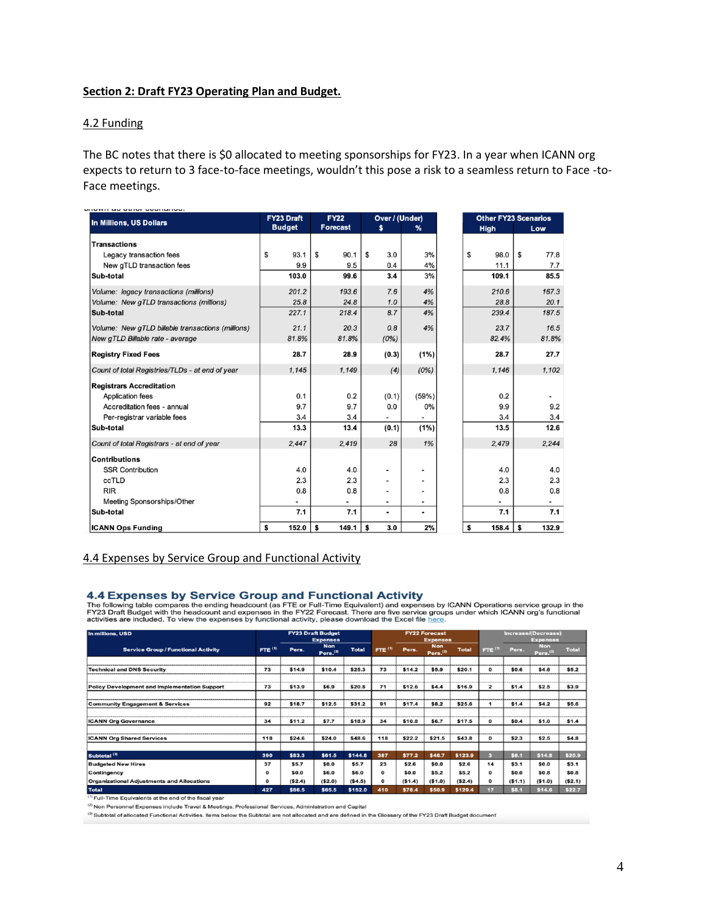#### **Section 2: Draft FY23 Operating Plan and Budget.**

#### 4.2 Funding

The BC notes that there is \$0 allocated to meeting sponsorships for FY23. In a year when ICANN org expects to return to 3 face-to-face meetings, wouldn't this pose a risk to a seamless return to Face -to-Face meetings.

| <b>In Millions, US Dollars</b>                    | <b>FY23 Draft</b> | <b>FY22</b>     | Over / (Under)               |                          |             | <b>Other FY23 Scenarios</b> |
|---------------------------------------------------|-------------------|-----------------|------------------------------|--------------------------|-------------|-----------------------------|
|                                                   | <b>Budget</b>     | <b>Forecast</b> | s                            | %                        | <b>High</b> | Low                         |
| <b>Transactions</b>                               |                   |                 |                              |                          |             |                             |
| Legacy transaction fees                           | \$<br>93.1        | \$<br>90.1      | \$<br>3.0                    | 3%                       | 98.0<br>\$  | \$<br>77.8                  |
| New gTLD transaction fees                         | 9.9               | 9.5             | 0.4                          | 4%                       | 11.1        | 7.7                         |
| Sub-total                                         | 103.0             | 99.6            | 3.4                          | 3%                       | 109.1       | 85.5                        |
| Volume: legacy transactions (millions)            | 201.2             | 193.6           | 7.6                          | 4%                       | 210.6       | 167.3                       |
| Volume: New gTLD transactions (millions)          | 25.8              | 24.8            | 1.0                          | 4%                       | 28.8        | 20.1                        |
| Sub-total                                         | 227.1             | 218.4           | 8.7                          | 4%                       | 239.4       | 187.5                       |
| Volume: New gTLD billable transactions (millions) | 21.1              | 20.3            | 0.8                          | 4%                       | 23.7        | 16.5                        |
| New gTLD Billable rate - average                  | 81.8%             | 81.8%           | (0%)                         |                          | 82.4%       | 81.8%                       |
| <b>Registry Fixed Fees</b>                        | 28.7              | 28.9            | (0.3)                        | (1%)                     | 28.7        | 27.7                        |
| Count of total Registries/TLDs - at end of year   | 1.145             | 1.149           | (4)                          | (0%)                     | 1.146       | 1.102                       |
| <b>Registrars Accreditation</b>                   |                   |                 |                              |                          |             |                             |
| <b>Application fees</b>                           | 0.1               | 0.2             | (0.1)                        | (59%)                    | 0.2         |                             |
| Accreditation fees - annual                       | 9.7               | 9.7             | 0.0                          | 0%                       | 9.9         | 9.2                         |
| Per-registrar variable fees                       | 3.4               | 3.4             |                              | $\overline{\phantom{0}}$ | 3.4         | 3.4                         |
| Sub-total                                         | 13.3              | 13.4            | (0.1)                        | (1%)                     | 13.5        | 12.6                        |
| Count of total Registrars - at end of year        | 2.447             | 2,419           | 28                           | 1%                       | 2,479       | 2,244                       |
| <b>Contributions</b>                              |                   |                 |                              |                          |             |                             |
| <b>SSR Contribution</b>                           | 4.0               | 4.0             | $\qquad \qquad \blacksquare$ | -                        | 4.0         | 4.0                         |
| ccTLD                                             | 2.3               | 2.3             | $\overline{\phantom{0}}$     | -                        | 2.3         | 2.3                         |
| <b>RIR</b>                                        | 0.8               | 0.8             |                              | -                        | 0.8         | 0.8                         |
| Meeting Sponsorships/Other                        |                   | $\overline{a}$  | $\overline{\phantom{0}}$     | $\overline{\phantom{a}}$ |             |                             |
| Sub-total                                         | 7.1               | 7.1             | $\blacksquare$               | $\blacksquare$           | 7.1         | 7.1                         |
| <b>ICANN Ops Funding</b>                          | 152.0<br>\$       | \$<br>149.1     | \$<br>3.0                    | 2%                       | \$<br>158.4 | \$<br>132.9                 |

#### 4.4 Expenses by Service Group and Functional Activity

#### 4.4 Expenses by Service Group and Functional Activity

The following table compares the ending headcount (as FIE or Full-CLIVITY) and expenses by ICANN Operations service group in the FY23 Draft Budget with the headcount and expenses in the FY22 Forecast. There are five servic

| In millions, USD                                     | <b>FY23 Draft Budget</b><br><b>Expenses</b> |        | <b>FY22 Forecast</b><br><b>Expenses</b> |              |                    | Increase/(Decrease)<br><b>Expenses</b> |                                    |              |                           |         |                                    |              |
|------------------------------------------------------|---------------------------------------------|--------|-----------------------------------------|--------------|--------------------|----------------------------------------|------------------------------------|--------------|---------------------------|---------|------------------------------------|--------------|
| <b>Service Group / Functional Activity</b>           | FTE $(1)$                                   | Pers.  | <b>Non</b><br>Pers. <sup>(2)</sup>      | <b>Total</b> | FTE <sup>(1)</sup> | Pers.                                  | <b>Non</b><br>Pers. <sup>(2)</sup> | <b>Total</b> | <b>FTE</b> <sup>(1)</sup> | Pers.   | <b>Non</b><br>Pers. <sup>(2)</sup> | <b>Total</b> |
|                                                      |                                             |        |                                         |              |                    |                                        |                                    |              |                           |         |                                    |              |
| <b>Technical and DNS Security</b>                    | 73                                          | \$14.9 | \$10.4                                  | \$25.3       | 73                 | \$14.2                                 | \$5.9                              | \$20.1       | $\mathbf{o}$              | \$0.6   | \$4.6                              | \$5.2        |
|                                                      |                                             |        |                                         |              |                    |                                        |                                    |              |                           |         |                                    |              |
| <b>Policy Development and Implementation Support</b> | 73                                          | \$13.9 | \$6.9                                   | \$20.8       | 71                 | \$12.6                                 | \$4.4                              | \$16.9       | $\overline{\mathbf{2}}$   | \$1.4   | \$2.5                              | \$3.9        |
|                                                      |                                             |        |                                         |              |                    |                                        |                                    |              |                           |         |                                    |              |
| <b>Community Engagement &amp; Services</b>           | 92                                          | \$18.7 | \$12.5                                  | \$31.2       | 91                 | \$17.4                                 | \$8.2                              | \$25.6       | 1                         | \$1.4   | \$4.2                              | \$5.6        |
|                                                      |                                             |        |                                         |              |                    |                                        |                                    |              |                           |         |                                    |              |
| <b>ICANN Org Governance</b>                          | 34                                          | \$11.2 | \$7.7                                   | \$18.9       | 34                 | \$10.8                                 | \$6.7                              | \$17.5       | $\mathbf{o}$              | \$0.4   | \$1.0                              | \$1.4        |
|                                                      |                                             |        |                                         |              |                    |                                        |                                    |              |                           |         |                                    |              |
| <b>ICANN Org Shared Services</b>                     | 118                                         | \$24.6 | \$24.0                                  | \$48.6       | 118                | \$22.2                                 | \$21.5                             | \$43.8       | $\mathbf{o}$              | \$2.3   | \$2.5                              | \$4.8        |
|                                                      |                                             |        |                                         |              |                    |                                        |                                    |              |                           |         |                                    |              |
| Subtotal <sup>(3)</sup>                              | 390                                         | \$83.3 | \$61.5                                  | \$144.8      | 387                | \$77.2                                 | \$46.7                             | \$123.9      | a                         | \$6.1   | \$14.8                             | \$20.9       |
| <b>Budgeted New Hires</b>                            | 37                                          | \$5.7  | \$0.0                                   | \$5.7        | 23                 | \$2.6                                  | \$0.0                              | \$2.6        | 14                        | \$3.1   | \$0.0                              | \$3.1        |
| Contingency                                          | $\Omega$                                    | \$0.0  | \$6.0                                   | \$6.0        | $\mathbf{o}$       | \$0.0                                  | \$5.2                              | \$5.2        | $\mathbf{o}$              | \$0.0   | \$0.8                              | \$0.8        |
| <b>Organizational Adjustments and Allocations</b>    | $\Omega$                                    | (S2.4) | ( \$2.0)                                | (\$4.5)      | $\mathbf{o}$       | (\$1.4)                                | (\$1.0)                            | (\$2.4)      | $\mathbf{o}$              | (\$1.1) | (\$1.0)                            | (\$2.1)      |
| <b>Total</b>                                         | 427                                         | \$86.5 | \$65.5                                  | \$152.0      | 410                | \$78.4                                 | \$50.9                             | \$129.4      | 17                        | \$8.1   | \$14.6                             | \$22.7       |

(1) Full-Time Equivalents at the end of the fiscal year

(2) Non Personnel Expenses include Travel & Meetings, Professional Services, Administration and Capital

(3) Subtotal of allocated Functional Activities. Items below the Subtotal are not allocated and are defined in the Glossary of the FY23 Draft Budget document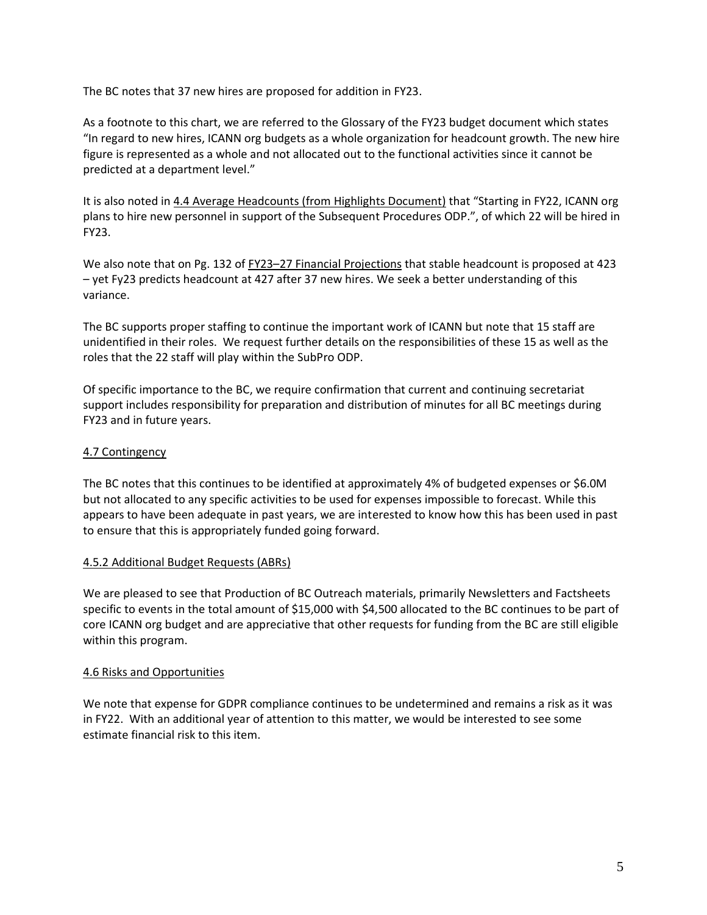The BC notes that 37 new hires are proposed for addition in FY23.

As a footnote to this chart, we are referred to the Glossary of the FY23 budget document which states "In regard to new hires, ICANN org budgets as a whole organization for headcount growth. The new hire figure is represented as a whole and not allocated out to the functional activities since it cannot be predicted at a department level."

It is also noted in 4.4 Average Headcounts (from Highlights Document) that "Starting in FY22, ICANN org plans to hire new personnel in support of the Subsequent Procedures ODP.", of which 22 will be hired in FY23.

We also note that on Pg. 132 of FY23–27 Financial Projections that stable headcount is proposed at 423 – yet Fy23 predicts headcount at 427 after 37 new hires. We seek a better understanding of this variance.

The BC supports proper staffing to continue the important work of ICANN but note that 15 staff are unidentified in their roles. We request further details on the responsibilities of these 15 as well as the roles that the 22 staff will play within the SubPro ODP.

Of specific importance to the BC, we require confirmation that current and continuing secretariat support includes responsibility for preparation and distribution of minutes for all BC meetings during FY23 and in future years.

## 4.7 Contingency

The BC notes that this continues to be identified at approximately 4% of budgeted expenses or \$6.0M but not allocated to any specific activities to be used for expenses impossible to forecast. While this appears to have been adequate in past years, we are interested to know how this has been used in past to ensure that this is appropriately funded going forward.

### 4.5.2 Additional Budget Requests (ABRs)

We are pleased to see that Production of BC Outreach materials, primarily Newsletters and Factsheets specific to events in the total amount of \$15,000 with \$4,500 allocated to the BC continues to be part of core ICANN org budget and are appreciative that other requests for funding from the BC are still eligible within this program.

### 4.6 Risks and Opportunities

We note that expense for GDPR compliance continues to be undetermined and remains a risk as it was in FY22. With an additional year of attention to this matter, we would be interested to see some estimate financial risk to this item.